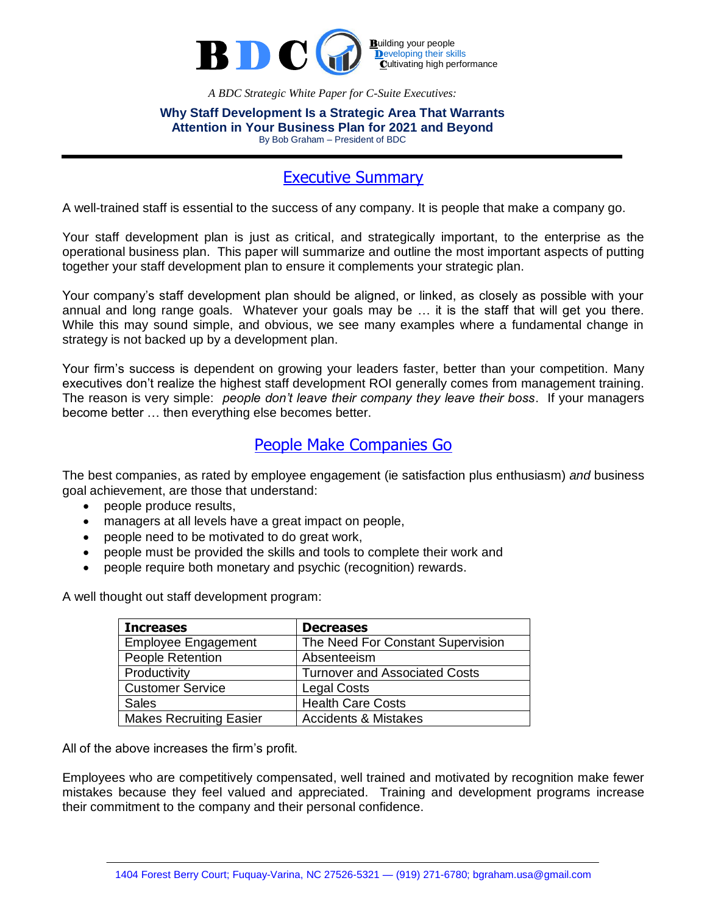

*A BDC Strategic White Paper for C-Suite Executives:*

#### **Why Staff Development Is a Strategic Area That Warrants Attention in Your Business Plan for 2021 and Beyond** By Bob Graham – President of BDC

# Executive Summary

A well-trained staff is essential to the success of any company. It is people that make a company go.

Your staff development plan is just as critical, and strategically important, to the enterprise as the operational business plan. This paper will summarize and outline the most important aspects of putting together your staff development plan to ensure it complements your strategic plan.

Your company's staff development plan should be aligned, or linked, as closely as possible with your annual and long range goals. Whatever your goals may be … it is the staff that will get you there. While this may sound simple, and obvious, we see many examples where a fundamental change in strategy is not backed up by a development plan.

Your firm's success is dependent on growing your leaders faster, better than your competition. Many executives don't realize the highest staff development ROI generally comes from management training. The reason is very simple: *people don't leave their company they leave their boss*. If your managers become better … then everything else becomes better.

## People Make Companies Go

The best companies, as rated by employee engagement (ie satisfaction plus enthusiasm) *and* business goal achievement, are those that understand:

- people produce results,
- managers at all levels have a great impact on people,
- people need to be motivated to do great work,
- people must be provided the skills and tools to complete their work and
- people require both monetary and psychic (recognition) rewards.

A well thought out staff development program:

| <b>Increases</b>               | <b>Decreases</b>                     |
|--------------------------------|--------------------------------------|
| <b>Employee Engagement</b>     | The Need For Constant Supervision    |
| <b>People Retention</b>        | Absenteeism                          |
| Productivity                   | <b>Turnover and Associated Costs</b> |
| <b>Customer Service</b>        | <b>Legal Costs</b>                   |
| <b>Sales</b>                   | <b>Health Care Costs</b>             |
| <b>Makes Recruiting Easier</b> | <b>Accidents &amp; Mistakes</b>      |

All of the above increases the firm's profit.

Employees who are competitively compensated, well trained and motivated by recognition make fewer mistakes because they feel valued and appreciated. Training and development programs increase their commitment to the company and their personal confidence.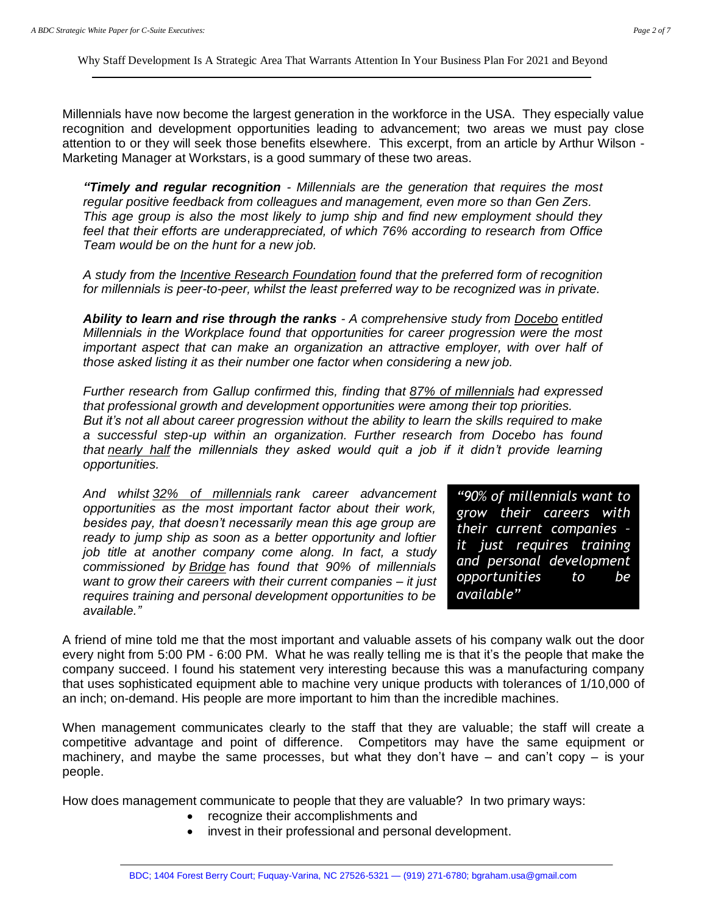Millennials have now become the largest generation in the workforce in the USA. They especially value recognition and development opportunities leading to advancement; two areas we must pay close attention to or they will seek those benefits elsewhere. This excerpt, from an article by Arthur Wilson - Marketing Manager at Workstars, is a good summary of these two areas.

*"Timely and regular recognition - Millennials are the generation that requires the most regular positive feedback from colleagues and management, even more so than Gen Zers. This age group is also the most likely to jump ship and find new employment should they feel that their efforts are underappreciated, of which 76% according to research from Office Team would be on the hunt for a new job.*

*A study from the [Incentive Research Foundation](https://theirf.org/research/reward-presentation-and-attraction-a-biometric-experiment/2348/) found that the preferred form of recognition for millennials is peer-to-peer, whilst the least preferred way to be recognized was in private.*

*Ability to learn and rise through the ranks - A comprehensive study from [Docebo](https://institute.franklin.edu/sites/default/files/Docebo-Millennials-Workplace-EN.pdf) entitled Millennials in the Workplace found that opportunities for career progression were the most important aspect that can make an organization an attractive employer, with over half of those asked listing it as their number one factor when considering a new job.*

*Further research from Gallup confirmed this, finding that 87% of millennials had expressed that professional growth and development opportunities were among their top priorities. But it's not all about career progression without the ability to learn the skills required to make a successful step-up within an organization. Further research from Docebo has found that [nearly half](https://www.docebo.com/press/docebo-workplace-survey-report/) the millennials they asked would quit a job if it didn't provide learning opportunities.*

*And whilst [32% of millennials](https://www.comparably.com/blog/study-what-millennials-want/) rank career advancement opportunities as the most important factor about their work, besides pay, that doesn't necessarily mean this age group are ready to jump ship as soon as a better opportunity and loftier job title at another company come along. In fact, a study commissioned by [Bridge](https://www.instructure.com/bridge/news/press-releases/millennials-are-most-likely-stay-loyal-jobs-development-opportunities?newhome=bridge) has found that 90% of millennials want to grow their careers with their current companies – it just requires training and personal development opportunities to be available."*

*"90% of millennials want to grow their careers with their current companies – it just requires training and personal development opportunities to be available"*

A friend of mine told me that the most important and valuable assets of his company walk out the door every night from 5:00 PM - 6:00 PM. What he was really telling me is that it's the people that make the company succeed. I found his statement very interesting because this was a manufacturing company that uses sophisticated equipment able to machine very unique products with tolerances of 1/10,000 of an inch; on-demand. His people are more important to him than the incredible machines.

When management communicates clearly to the staff that they are valuable; the staff will create a competitive advantage and point of difference. Competitors may have the same equipment or machinery, and maybe the same processes, but what they don't have  $-$  and can't copy  $-$  is your people.

How does management communicate to people that they are valuable? In two primary ways:

- recognize their accomplishments and
- invest in their professional and personal development.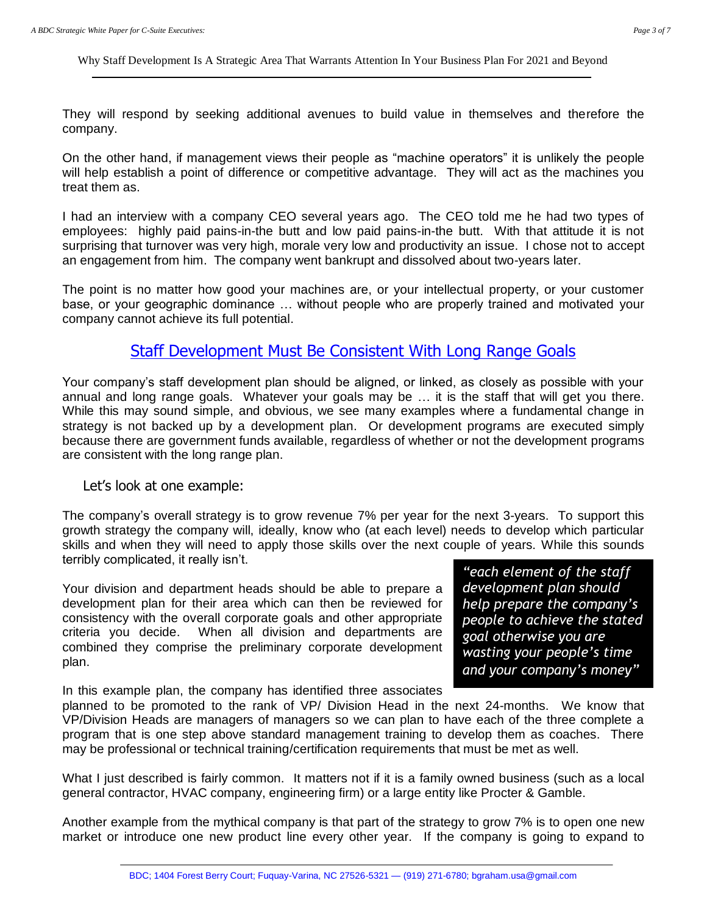They will respond by seeking additional avenues to build value in themselves and therefore the company.

On the other hand, if management views their people as "machine operators" it is unlikely the people will help establish a point of difference or competitive advantage. They will act as the machines you treat them as.

I had an interview with a company CEO several years ago. The CEO told me he had two types of employees: highly paid pains-in-the butt and low paid pains-in-the butt. With that attitude it is not surprising that turnover was very high, morale very low and productivity an issue. I chose not to accept an engagement from him. The company went bankrupt and dissolved about two-years later.

The point is no matter how good your machines are, or your intellectual property, or your customer base, or your geographic dominance … without people who are properly trained and motivated your company cannot achieve its full potential.

### Staff Development Must Be Consistent With Long Range Goals

Your company's staff development plan should be aligned, or linked, as closely as possible with your annual and long range goals. Whatever your goals may be … it is the staff that will get you there. While this may sound simple, and obvious, we see many examples where a fundamental change in strategy is not backed up by a development plan. Or development programs are executed simply because there are government funds available, regardless of whether or not the development programs are consistent with the long range plan.

#### Let's look at one example:

The company's overall strategy is to grow revenue 7% per year for the next 3-years. To support this growth strategy the company will, ideally, know who (at each level) needs to develop which particular skills and when they will need to apply those skills over the next couple of years. While this sounds terribly complicated, it really isn't.

Your division and department heads should be able to prepare a development plan for their area which can then be reviewed for consistency with the overall corporate goals and other appropriate criteria you decide. When all division and departments are combined they comprise the preliminary corporate development plan.

*"each element of the staff development plan should help prepare the company's people to achieve the stated goal otherwise you are wasting your people's time and your company's money"*

In this example plan, the company has identified three associates

planned to be promoted to the rank of VP/ Division Head in the next 24-months. We know that VP/Division Heads are managers of managers so we can plan to have each of the three complete a program that is one step above standard management training to develop them as coaches. There may be professional or technical training/certification requirements that must be met as well.

What I just described is fairly common. It matters not if it is a family owned business (such as a local general contractor, HVAC company, engineering firm) or a large entity like Procter & Gamble.

Another example from the mythical company is that part of the strategy to grow 7% is to open one new market or introduce one new product line every other year. If the company is going to expand to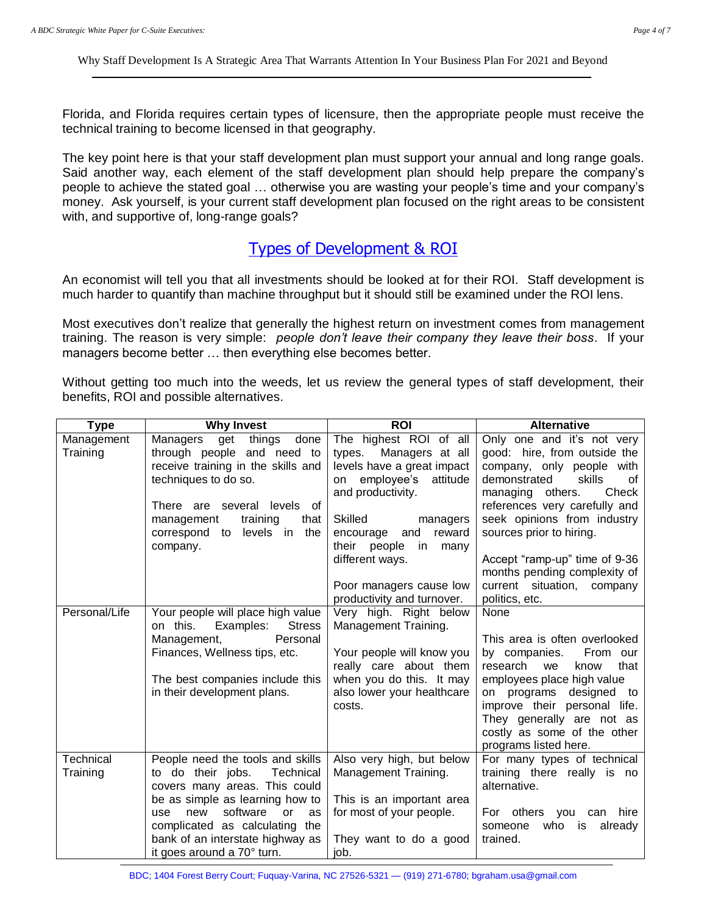Florida, and Florida requires certain types of licensure, then the appropriate people must receive the technical training to become licensed in that geography.

The key point here is that your staff development plan must support your annual and long range goals. Said another way, each element of the staff development plan should help prepare the company's people to achieve the stated goal … otherwise you are wasting your people's time and your company's money. Ask yourself, is your current staff development plan focused on the right areas to be consistent with, and supportive of, long-range goals?

## Types of Development & ROI

An economist will tell you that all investments should be looked at for their ROI. Staff development is much harder to quantify than machine throughput but it should still be examined under the ROI lens.

Most executives don't realize that generally the highest return on investment comes from management training. The reason is very simple: *people don't leave their company they leave their boss*. If your managers become better … then everything else becomes better.

Without getting too much into the weeds, let us review the general types of staff development, their benefits, ROI and possible alternatives.

| <b>Type</b>            | <b>Why Invest</b>                                                                                                                                                                                                                                                                | <b>ROI</b>                                                                                                                                                                                                                                                                                            | <b>Alternative</b>                                                                                                                                                                                                                                                                                                                                                |
|------------------------|----------------------------------------------------------------------------------------------------------------------------------------------------------------------------------------------------------------------------------------------------------------------------------|-------------------------------------------------------------------------------------------------------------------------------------------------------------------------------------------------------------------------------------------------------------------------------------------------------|-------------------------------------------------------------------------------------------------------------------------------------------------------------------------------------------------------------------------------------------------------------------------------------------------------------------------------------------------------------------|
| Management<br>Training | things<br>Managers<br>get<br>done<br>through people and need to<br>receive training in the skills and<br>techniques to do so.<br>There are several levels<br>of<br>management<br>training<br>that<br>correspond to levels in the<br>company.                                     | The highest ROI of all<br>Managers at all<br>types.<br>levels have a great impact<br>employee's<br>attitude<br>on<br>and productivity.<br>Skilled<br>managers<br>and<br>reward<br>encourage<br>their people<br>in<br>many<br>different ways.<br>Poor managers cause low<br>productivity and turnover. | Only one and it's not very<br>good: hire, from outside the<br>company, only people with<br>skills<br>demonstrated<br>οf<br>Check<br>managing others.<br>references very carefully and<br>seek opinions from industry<br>sources prior to hiring.<br>Accept "ramp-up" time of 9-36<br>months pending complexity of<br>current situation, company<br>politics, etc. |
| Personal/Life          | Your people will place high value<br>on this.<br>Examples:<br><b>Stress</b><br>Management,<br>Personal<br>Finances, Wellness tips, etc.<br>The best companies include this<br>in their development plans.                                                                        | Very high. Right below<br>Management Training.<br>Your people will know you<br>really care about them<br>when you do this. It may<br>also lower your healthcare<br>costs.                                                                                                                             | None<br>This area is often overlooked<br>From our<br>by companies.<br>that<br>research<br>know<br>we<br>employees place high value<br>on programs designed to<br>improve their personal life.<br>They generally are not as<br>costly as some of the other<br>programs listed here.                                                                                |
| Technical<br>Training  | People need the tools and skills<br>to do their jobs.<br>Technical<br>covers many areas. This could<br>be as simple as learning how to<br>software<br>new<br>use<br>or<br>as<br>complicated as calculating the<br>bank of an interstate highway as<br>it goes around a 70° turn. | Also very high, but below<br>Management Training.<br>This is an important area<br>for most of your people.<br>They want to do a good<br>job.                                                                                                                                                          | For many types of technical<br>training there really is no<br>alternative.<br>hire<br>For others you<br>can<br>who<br>already<br>someone<br>is<br>trained.                                                                                                                                                                                                        |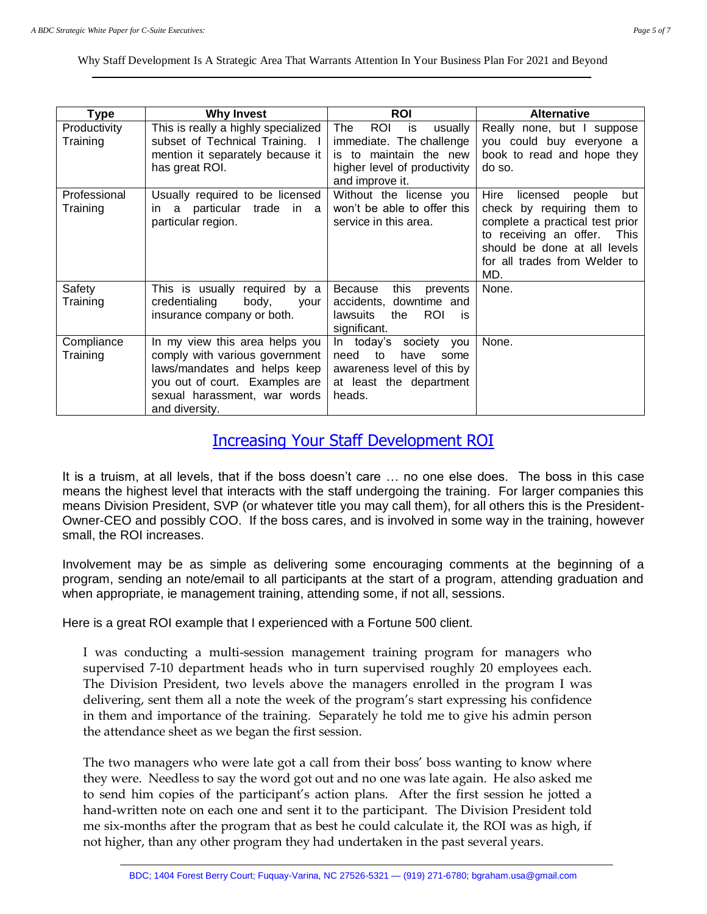| <b>Type</b>              | <b>Why Invest</b>                                                                                                                                                                    | <b>ROI</b>                                                                                                                                  | <b>Alternative</b>                                                                                                                                                                                           |
|--------------------------|--------------------------------------------------------------------------------------------------------------------------------------------------------------------------------------|---------------------------------------------------------------------------------------------------------------------------------------------|--------------------------------------------------------------------------------------------------------------------------------------------------------------------------------------------------------------|
| Productivity<br>Training | This is really a highly specialized<br>subset of Technical Training. I<br>mention it separately because it<br>has great ROI.                                                         | <b>ROI</b><br>The<br>is<br>usually<br>immediate. The challenge<br>is to maintain the new<br>higher level of productivity<br>and improve it. | Really none, but I suppose<br>you could buy everyone a<br>book to read and hope they<br>do so.                                                                                                               |
| Professional<br>Training | Usually required to be licensed<br>particular<br>trade in a<br>a<br>in.<br>particular region.                                                                                        | Without the license you<br>won't be able to offer this<br>service in this area.                                                             | Hire<br>licensed<br>people<br>but<br>check by requiring them to<br>complete a practical test prior<br>to receiving an offer.<br>This<br>should be done at all levels<br>for all trades from Welder to<br>MD. |
| Safety<br>Training       | This is usually required<br>by a<br>credentialing<br>body,<br>vour<br>insurance company or both.                                                                                     | this<br>Because<br>prevents<br>accidents, downtime and<br><b>ROI</b><br><b>lawsuits</b><br>the<br>is.<br>significant.                       | None.                                                                                                                                                                                                        |
| Compliance<br>Training   | In my view this area helps you<br>comply with various government<br>laws/mandates and helps keep<br>you out of court. Examples are<br>sexual harassment, war words<br>and diversity. | In today's<br>society<br>you<br>have<br>to<br>need<br>some<br>awareness level of this by<br>at least the department<br>heads.               | None.                                                                                                                                                                                                        |

## Increasing Your Staff Development ROI

It is a truism, at all levels, that if the boss doesn't care … no one else does. The boss in this case means the highest level that interacts with the staff undergoing the training. For larger companies this means Division President, SVP (or whatever title you may call them), for all others this is the President-Owner-CEO and possibly COO. If the boss cares, and is involved in some way in the training, however small, the ROI increases.

Involvement may be as simple as delivering some encouraging comments at the beginning of a program, sending an note/email to all participants at the start of a program, attending graduation and when appropriate, ie management training, attending some, if not all, sessions.

Here is a great ROI example that I experienced with a Fortune 500 client.

I was conducting a multi-session management training program for managers who supervised 7-10 department heads who in turn supervised roughly 20 employees each. The Division President, two levels above the managers enrolled in the program I was delivering, sent them all a note the week of the program's start expressing his confidence in them and importance of the training. Separately he told me to give his admin person the attendance sheet as we began the first session.

The two managers who were late got a call from their boss' boss wanting to know where they were. Needless to say the word got out and no one was late again. He also asked me to send him copies of the participant's action plans. After the first session he jotted a hand-written note on each one and sent it to the participant. The Division President told me six-months after the program that as best he could calculate it, the ROI was as high, if not higher, than any other program they had undertaken in the past several years.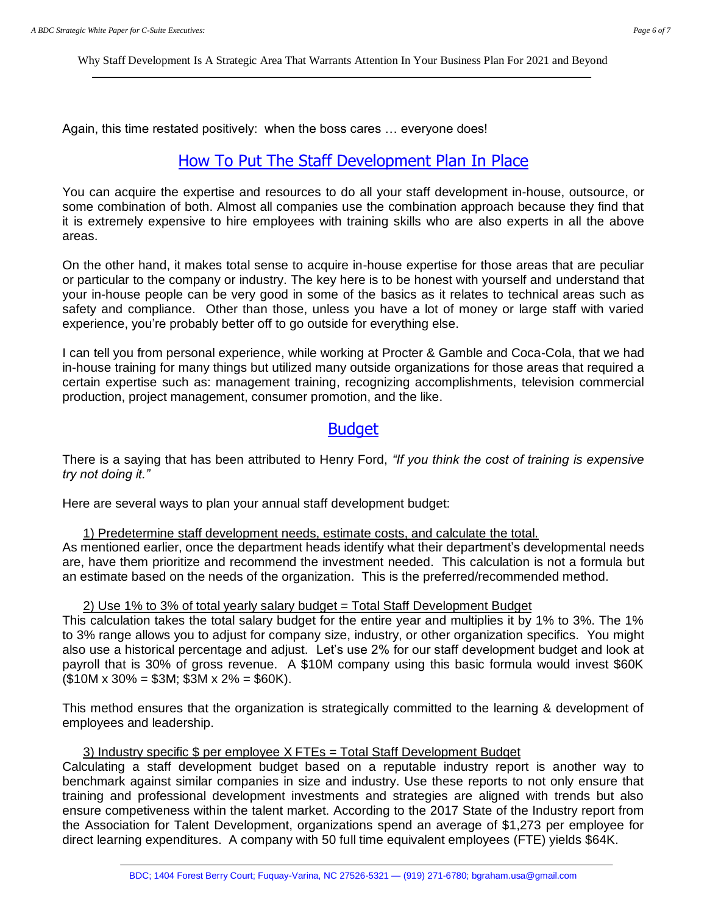Again, this time restated positively: when the boss cares … everyone does!

### How To Put The Staff Development Plan In Place

You can acquire the expertise and resources to do all your staff development in-house, outsource, or some combination of both. Almost all companies use the combination approach because they find that it is extremely expensive to hire employees with training skills who are also experts in all the above areas.

On the other hand, it makes total sense to acquire in-house expertise for those areas that are peculiar or particular to the company or industry. The key here is to be honest with yourself and understand that your in-house people can be very good in some of the basics as it relates to technical areas such as safety and compliance. Other than those, unless you have a lot of money or large staff with varied experience, you're probably better off to go outside for everything else.

I can tell you from personal experience, while working at Procter & Gamble and Coca-Cola, that we had in-house training for many things but utilized many outside organizations for those areas that required a certain expertise such as: management training, recognizing accomplishments, television commercial production, project management, consumer promotion, and the like.

#### **Budget**

There is a saying that has been attributed to Henry Ford, *"If you think the cost of training is expensive try not doing it."*

Here are several ways to plan your annual staff development budget:

#### 1) Predetermine staff development needs, estimate costs, and calculate the total.

As mentioned earlier, once the department heads identify what their department's developmental needs are, have them prioritize and recommend the investment needed. This calculation is not a formula but an estimate based on the needs of the organization. This is the preferred/recommended method.

#### 2) Use 1% to 3% of total yearly salary budget = Total Staff Development Budget

This calculation takes the total salary budget for the entire year and multiplies it by 1% to 3%. The 1% to 3% range allows you to adjust for company size, industry, or other organization specifics. You might also use a historical percentage and adjust. Let's use 2% for our staff development budget and look at payroll that is 30% of gross revenue. A \$10M company using this basic formula would invest \$60K  $($10M \times 30\% = $3M; $3M \times 2\% = $60K).$ 

This method ensures that the organization is strategically committed to the learning & development of employees and leadership.

#### 3) Industry specific \$ per employee X FTEs = Total Staff Development Budget

Calculating a staff development budget based on a reputable industry report is another way to benchmark against similar companies in size and industry. Use these reports to not only ensure that training and professional development investments and strategies are aligned with trends but also ensure competiveness within the talent market. According to the 2017 State of the Industry report from the Association for Talent Development, organizations spend an average of \$1,273 per employee for direct learning expenditures. A company with 50 full time equivalent employees (FTE) yields \$64K.